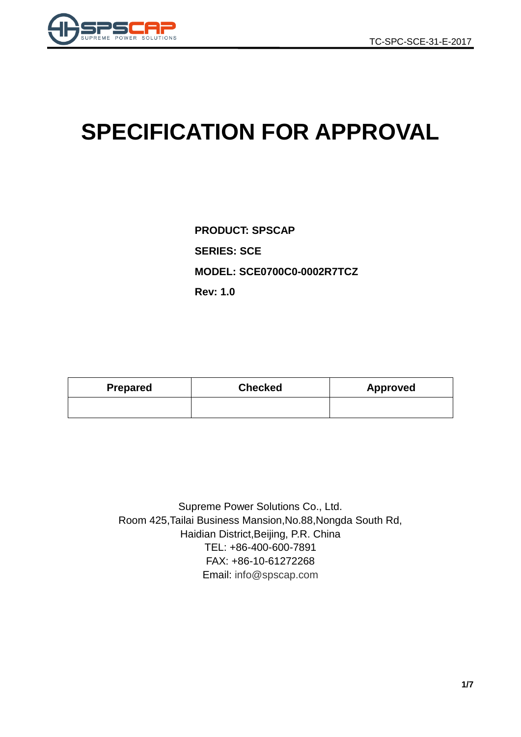

# **SPECIFICATION FOR APPROVAL**

**PRODUCT: SPSCAP SERIES: SCE MODEL: SCE0700C0-0002R7TCZ Rev: 1.0**

| <b>Prepared</b> | <b>Checked</b> | Approved |  |  |
|-----------------|----------------|----------|--|--|
|                 |                |          |  |  |

Supreme Power Solutions Co., Ltd. Room 425,Tailai Business Mansion,No.88,Nongda South Rd, Haidian District,Beijing, P.R. China TEL: +86-400-600-7891 FAX: +86-10-61272268 Email: [info@spscap.com](mailto:info@spscap.com)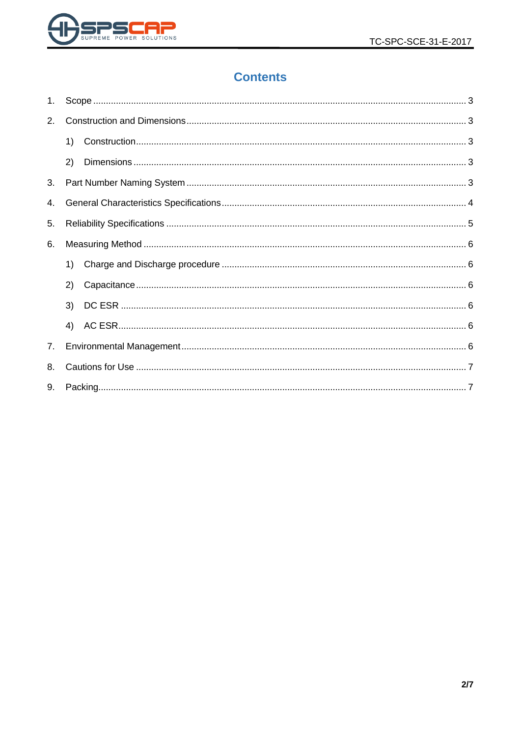

# **Contents**

| 1. |    |  |  |  |  |  |  |
|----|----|--|--|--|--|--|--|
| 2. |    |  |  |  |  |  |  |
|    | 1) |  |  |  |  |  |  |
|    | 2) |  |  |  |  |  |  |
| 3. |    |  |  |  |  |  |  |
| 4. |    |  |  |  |  |  |  |
| 5. |    |  |  |  |  |  |  |
| 6. |    |  |  |  |  |  |  |
|    | 1) |  |  |  |  |  |  |
|    | 2) |  |  |  |  |  |  |
|    | 3) |  |  |  |  |  |  |
|    | 4) |  |  |  |  |  |  |
| 7. |    |  |  |  |  |  |  |
| 8. |    |  |  |  |  |  |  |
| 9. |    |  |  |  |  |  |  |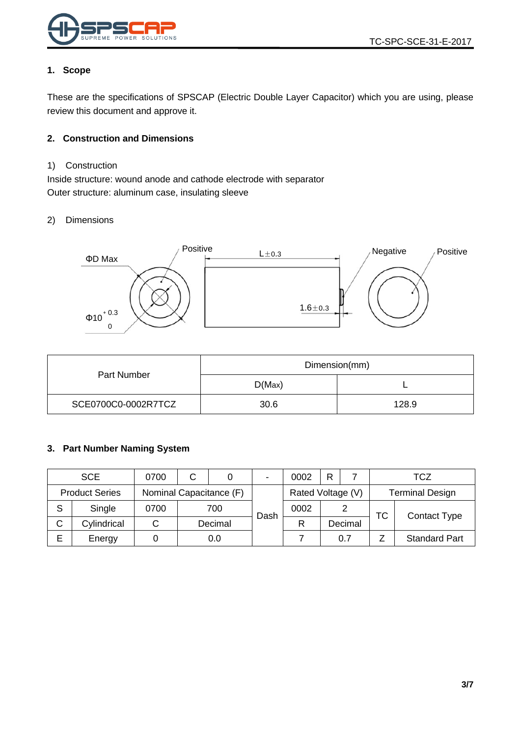

#### <span id="page-2-0"></span>**1. Scope**

These are the specifications of SPSCAP (Electric Double Layer Capacitor) which you are using, please review this document and approve it.

#### <span id="page-2-1"></span>**2. Construction and Dimensions**

#### <span id="page-2-2"></span>1) Construction

Inside structure: wound anode and cathode electrode with separator Outer structure: aluminum case, insulating sleeve

#### <span id="page-2-3"></span>2) Dimensions



|                     | Dimension(mm) |       |  |  |
|---------------------|---------------|-------|--|--|
| Part Number         | D(Max)        |       |  |  |
| SCE0700C0-0002R7TCZ | 30.6          | 128.9 |  |  |

#### <span id="page-2-4"></span>**3. Part Number Naming System**

|   | <b>SCE</b>                                       | 0700 | С |                   | $\blacksquare$ | 0002 |                        |         |    | TCZ                  |
|---|--------------------------------------------------|------|---|-------------------|----------------|------|------------------------|---------|----|----------------------|
|   | <b>Product Series</b><br>Nominal Capacitance (F) |      |   | Rated Voltage (V) |                |      | <b>Terminal Design</b> |         |    |                      |
| S | Single                                           | 0700 |   | 700               | Dash           | 0002 |                        |         | ТC | <b>Contact Type</b>  |
| С | Cylindrical                                      |      |   | Decimal           |                | R    |                        | Decimal |    |                      |
| Е | Energy                                           |      |   | 0.0               |                |      |                        | 0.7     |    | <b>Standard Part</b> |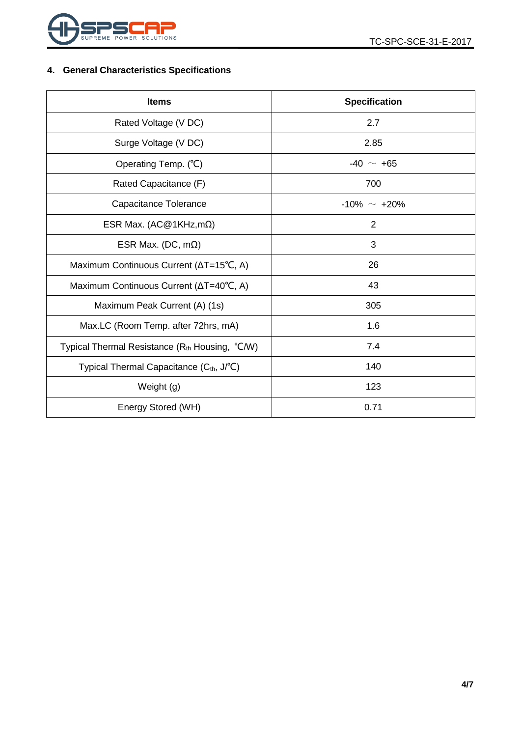

## <span id="page-3-0"></span>**4. General Characteristics Specifications**

| <b>Items</b>                                         | <b>Specification</b> |  |  |
|------------------------------------------------------|----------------------|--|--|
| Rated Voltage (V DC)                                 | 2.7                  |  |  |
| Surge Voltage (V DC)                                 | 2.85                 |  |  |
| Operating Temp. (°C)                                 | $-40 \sim +65$       |  |  |
| Rated Capacitance (F)                                | 700                  |  |  |
| Capacitance Tolerance                                | $-10\% \sim +20\%$   |  |  |
| ESR Max. (AC@1KHz,m $\Omega$ )                       | $\overline{2}$       |  |  |
| ESR Max. (DC, $m\Omega$ )                            | 3                    |  |  |
| Maximum Continuous Current (∆T=15°C, A)              | 26                   |  |  |
| Maximum Continuous Current (ΔT=40°C, A)              | 43                   |  |  |
| Maximum Peak Current (A) (1s)                        | 305                  |  |  |
| Max.LC (Room Temp. after 72hrs, mA)                  | 1.6                  |  |  |
| Typical Thermal Resistance $(Rth$ Housing, $°C/W)$   | 7.4                  |  |  |
| Typical Thermal Capacitance (C <sub>th</sub> , J/°C) | 140                  |  |  |
| Weight (g)                                           | 123                  |  |  |
| Energy Stored (WH)                                   | 0.71                 |  |  |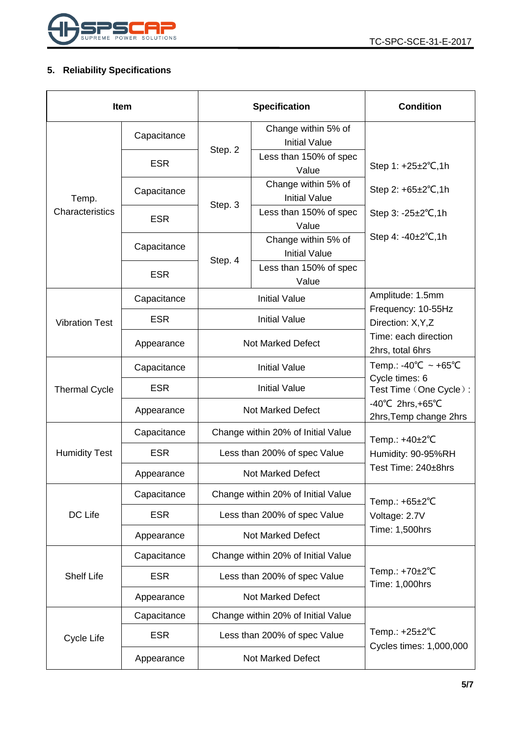

## <span id="page-4-0"></span>**5. Reliability Specifications**

| <b>Item</b>           |             |                                    | <b>Specification</b>                        | <b>Condition</b>                                                 |  |
|-----------------------|-------------|------------------------------------|---------------------------------------------|------------------------------------------------------------------|--|
|                       | Capacitance |                                    | Change within 5% of<br><b>Initial Value</b> |                                                                  |  |
| Temp.                 | <b>ESR</b>  | Step. 2                            | Less than 150% of spec<br>Value             | Step 1: +25±2°C,1h                                               |  |
|                       | Capacitance | Step. 3                            | Change within 5% of<br><b>Initial Value</b> | Step 2: $+65\pm2\degree$ C, 1h                                   |  |
| Characteristics       | <b>ESR</b>  |                                    | Less than 150% of spec<br>Value             | Step $3: -25 \pm 2^{\circ}C, 1h$                                 |  |
|                       | Capacitance |                                    | Change within 5% of<br><b>Initial Value</b> | Step 4: $-40\pm2^{\circ}C$ , 1h                                  |  |
|                       | <b>ESR</b>  | Step. 4                            | Less than 150% of spec<br>Value             |                                                                  |  |
|                       | Capacitance |                                    | <b>Initial Value</b>                        | Amplitude: 1.5mm                                                 |  |
| <b>Vibration Test</b> | <b>ESR</b>  |                                    | <b>Initial Value</b>                        | Frequency: 10-55Hz<br>Direction: X, Y, Z                         |  |
|                       | Appearance  |                                    | <b>Not Marked Defect</b>                    | Time: each direction<br>2hrs, total 6hrs                         |  |
| <b>Thermal Cycle</b>  | Capacitance |                                    | <b>Initial Value</b>                        | Temp.: -40°C ~ +65°C<br>Cycle times: 6<br>Test Time (One Cycle): |  |
|                       | <b>ESR</b>  |                                    | <b>Initial Value</b>                        |                                                                  |  |
|                       | Appearance  |                                    | <b>Not Marked Defect</b>                    | $-40^{\circ}$ C 2hrs, +65 $^{\circ}$ C<br>2hrs, Temp change 2hrs |  |
|                       | Capacitance |                                    | Change within 20% of Initial Value          | Temp.: +40±2°C<br>Humidity: 90-95%RH<br>Test Time: 240±8hrs      |  |
| <b>Humidity Test</b>  | <b>ESR</b>  |                                    | Less than 200% of spec Value                |                                                                  |  |
|                       | Appearance  |                                    | Not Marked Defect                           |                                                                  |  |
|                       | Capacitance | Change within 20% of Initial Value |                                             | Temp.: +65±2°C                                                   |  |
| DC Life               | <b>ESR</b>  |                                    | Less than 200% of spec Value                | Voltage: 2.7V                                                    |  |
|                       | Appearance  |                                    | <b>Not Marked Defect</b>                    | Time: 1,500hrs                                                   |  |
|                       | Capacitance |                                    | Change within 20% of Initial Value          | Temp.: +70±2°C<br>Time: 1,000hrs                                 |  |
| <b>Shelf Life</b>     | <b>ESR</b>  |                                    | Less than 200% of spec Value                |                                                                  |  |
|                       | Appearance  |                                    | <b>Not Marked Defect</b>                    |                                                                  |  |
|                       | Capacitance |                                    | Change within 20% of Initial Value          |                                                                  |  |
| Cycle Life            | <b>ESR</b>  |                                    | Less than 200% of spec Value                | Temp.: $+25\pm2$ °C                                              |  |
|                       | Appearance  | <b>Not Marked Defect</b>           |                                             | Cycles times: 1,000,000                                          |  |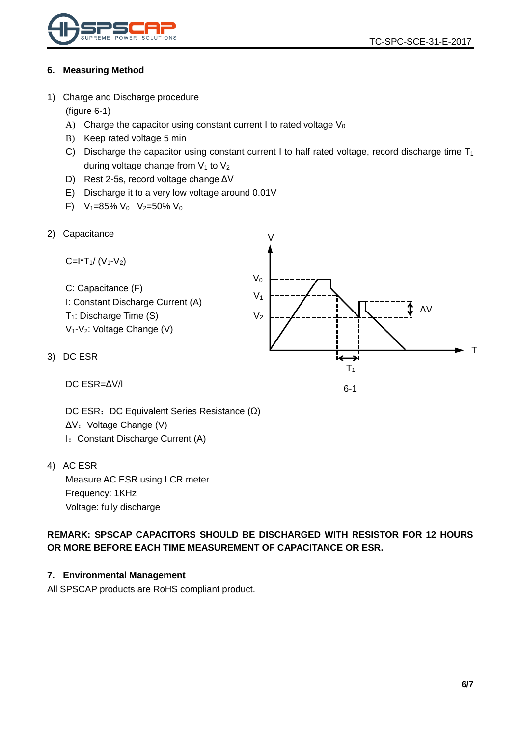

#### <span id="page-5-0"></span>**6. Measuring Method**

<span id="page-5-1"></span>1) Charge and Discharge procedure

(figure 6-1)

- A) Charge the capacitor using constant current I to rated voltage  $V_0$
- B) Keep rated voltage 5 min
- C) Discharge the capacitor using constant current I to half rated voltage, record discharge time  $T_1$ during voltage change from  $V_1$  to  $V_2$

 $\overline{V}$ 

- D) Rest 2-5s, record voltage change ΔV
- E) Discharge it to a very low voltage around 0.01V
- F)  $V_1=85\% V_0 V_2=50\% V_0$
- <span id="page-5-2"></span>2) Capacitance

C=
$$
l^*T_1/(V_1-V_2)
$$
  
\nC: Capacitance (F)  
\nI: Constant Discharge Current (A)  
\nT<sub>1</sub>: Discharge Time (S)  
\nV<sub>1</sub>-V<sub>2</sub>: Voltage Change (V)  
\nDC ESR  
\n
$$
V_2
$$

6-1

DC ESR=ΔV/I

<span id="page-5-3"></span> $3)$ 

DC ESR: DC Equivalent Series Resistance (Ω) ΔV: Voltage Change (V) I: Constant Discharge Current (A)

<span id="page-5-4"></span>4) AC ESR

Measure AC ESR using LCR meter Frequency: 1KHz Voltage: fully discharge

**REMARK: SPSCAP CAPACITORS SHOULD BE DISCHARGED WITH RESISTOR FOR 12 HOURS OR MORE BEFORE EACH TIME MEASUREMENT OF CAPACITANCE OR ESR.**

#### <span id="page-5-5"></span>**7. Environmental Management**

All SPSCAP products are RoHS compliant product.